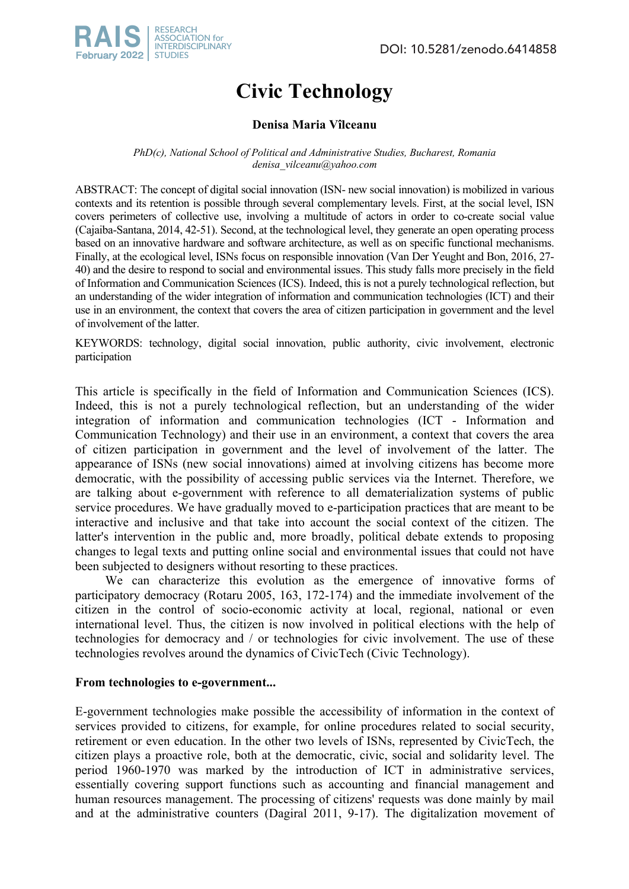

# **Civic Technology**

# **Denisa Maria Vîlceanu**

*PhD(c), National School of Political and Administrative Studies, Bucharest, Romania denisa\_vilceanu@yahoo.com*

ABSTRACT: The concept of digital social innovation (ISN- new social innovation) is mobilized in various contexts and its retention is possible through several complementary levels. First, at the social level, ISN covers perimeters of collective use, involving a multitude of actors in order to co-create social value (Cajaiba-Santana, 2014, 42-51). Second, at the technological level, they generate an open operating process based on an innovative hardware and software architecture, as well as on specific functional mechanisms. Finally, at the ecological level, ISNs focus on responsible innovation (Van Der Yeught and Bon, 2016, 27- 40) and the desire to respond to social and environmental issues. This study falls more precisely in the field of Information and Communication Sciences (ICS). Indeed, this is not a purely technological reflection, but an understanding of the wider integration of information and communication technologies (ICT) and their use in an environment, the context that covers the area of citizen participation in government and the level of involvement of the latter.

KEYWORDS: technology, digital social innovation, public authority, civic involvement, electronic participation

This article is specifically in the field of Information and Communication Sciences (ICS). Indeed, this is not a purely technological reflection, but an understanding of the wider integration of information and communication technologies (ICT - Information and Communication Technology) and their use in an environment, a context that covers the area of citizen participation in government and the level of involvement of the latter. The appearance of ISNs (new social innovations) aimed at involving citizens has become more democratic, with the possibility of accessing public services via the Internet. Therefore, we are talking about e-government with reference to all dematerialization systems of public service procedures. We have gradually moved to e-participation practices that are meant to be interactive and inclusive and that take into account the social context of the citizen. The latter's intervention in the public and, more broadly, political debate extends to proposing changes to legal texts and putting online social and environmental issues that could not have been subjected to designers without resorting to these practices.

We can characterize this evolution as the emergence of innovative forms of participatory democracy (Rotaru 2005, 163, 172-174) and the immediate involvement of the citizen in the control of socio-economic activity at local, regional, national or even international level. Thus, the citizen is now involved in political elections with the help of technologies for democracy and / or technologies for civic involvement. The use of these technologies revolves around the dynamics of CivicTech (Civic Technology).

# **From technologies to e-government...**

E-government technologies make possible the accessibility of information in the context of services provided to citizens, for example, for online procedures related to social security, retirement or even education. In the other two levels of ISNs, represented by CivicTech, the citizen plays a proactive role, both at the democratic, civic, social and solidarity level. The period 1960-1970 was marked by the introduction of ICT in administrative services, essentially covering support functions such as accounting and financial management and human resources management. The processing of citizens' requests was done mainly by mail and at the administrative counters (Dagiral 2011, 9-17). The digitalization movement of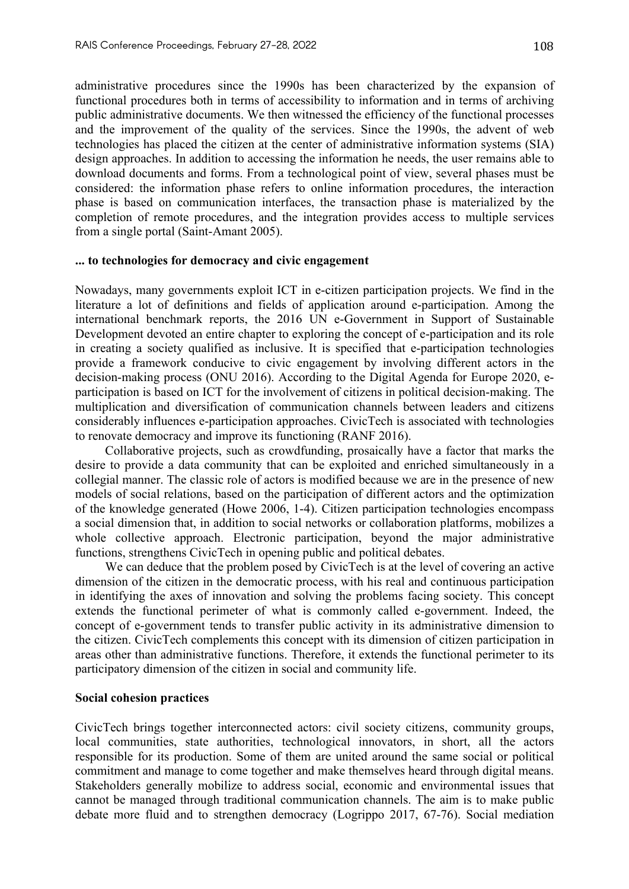administrative procedures since the 1990s has been characterized by the expansion of functional procedures both in terms of accessibility to information and in terms of archiving public administrative documents. We then witnessed the efficiency of the functional processes and the improvement of the quality of the services. Since the 1990s, the advent of web technologies has placed the citizen at the center of administrative information systems (SIA) design approaches. In addition to accessing the information he needs, the user remains able to download documents and forms. From a technological point of view, several phases must be considered: the information phase refers to online information procedures, the interaction phase is based on communication interfaces, the transaction phase is materialized by the completion of remote procedures, and the integration provides access to multiple services from a single portal (Saint-Amant 2005).

# **... to technologies for democracy and civic engagement**

Nowadays, many governments exploit ICT in e-citizen participation projects. We find in the literature a lot of definitions and fields of application around e-participation. Among the international benchmark reports, the 2016 UN e-Government in Support of Sustainable Development devoted an entire chapter to exploring the concept of e-participation and its role in creating a society qualified as inclusive. It is specified that e-participation technologies provide a framework conducive to civic engagement by involving different actors in the decision-making process (ONU 2016). According to the Digital Agenda for Europe 2020, eparticipation is based on ICT for the involvement of citizens in political decision-making. The multiplication and diversification of communication channels between leaders and citizens considerably influences e-participation approaches. CivicTech is associated with technologies to renovate democracy and improve its functioning (RANF 2016).

Collaborative projects, such as crowdfunding, prosaically have a factor that marks the desire to provide a data community that can be exploited and enriched simultaneously in a collegial manner. The classic role of actors is modified because we are in the presence of new models of social relations, based on the participation of different actors and the optimization of the knowledge generated (Howe 2006, 1-4). Citizen participation technologies encompass a social dimension that, in addition to social networks or collaboration platforms, mobilizes a whole collective approach. Electronic participation, beyond the major administrative functions, strengthens CivicTech in opening public and political debates.

We can deduce that the problem posed by CivicTech is at the level of covering an active dimension of the citizen in the democratic process, with his real and continuous participation in identifying the axes of innovation and solving the problems facing society. This concept extends the functional perimeter of what is commonly called e-government. Indeed, the concept of e-government tends to transfer public activity in its administrative dimension to the citizen. CivicTech complements this concept with its dimension of citizen participation in areas other than administrative functions. Therefore, it extends the functional perimeter to its participatory dimension of the citizen in social and community life.

### **Social cohesion practices**

CivicTech brings together interconnected actors: civil society citizens, community groups, local communities, state authorities, technological innovators, in short, all the actors responsible for its production. Some of them are united around the same social or political commitment and manage to come together and make themselves heard through digital means. Stakeholders generally mobilize to address social, economic and environmental issues that cannot be managed through traditional communication channels. The aim is to make public debate more fluid and to strengthen democracy (Logrippo 2017, 67-76). Social mediation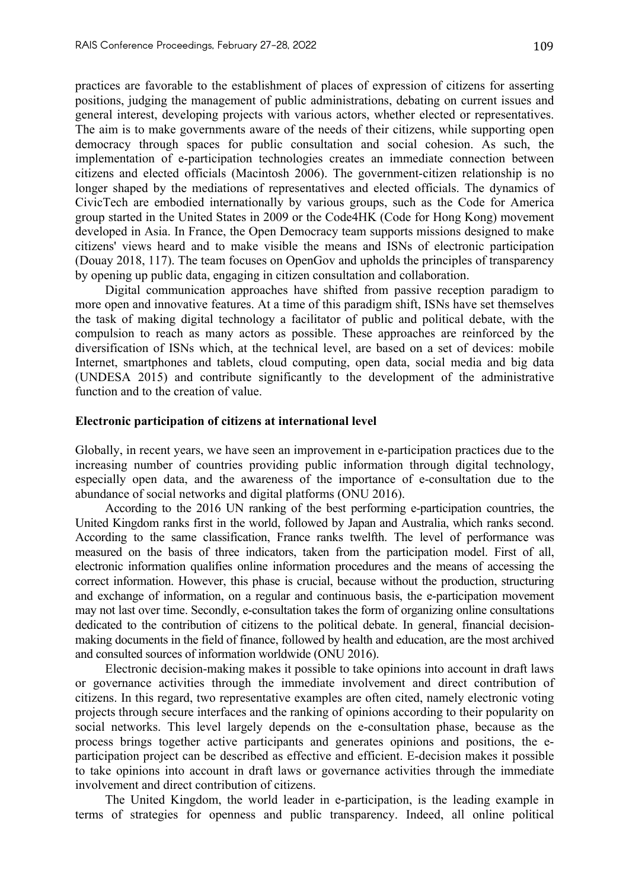practices are favorable to the establishment of places of expression of citizens for asserting positions, judging the management of public administrations, debating on current issues and general interest, developing projects with various actors, whether elected or representatives. The aim is to make governments aware of the needs of their citizens, while supporting open democracy through spaces for public consultation and social cohesion. As such, the implementation of e-participation technologies creates an immediate connection between citizens and elected officials (Macintosh 2006). The government-citizen relationship is no longer shaped by the mediations of representatives and elected officials. The dynamics of CivicTech are embodied internationally by various groups, such as the Code for America group started in the United States in 2009 or the Code4HK (Code for Hong Kong) movement developed in Asia. In France, the Open Democracy team supports missions designed to make citizens' views heard and to make visible the means and ISNs of electronic participation (Douay 2018, 117). The team focuses on OpenGov and upholds the principles of transparency by opening up public data, engaging in citizen consultation and collaboration.

Digital communication approaches have shifted from passive reception paradigm to more open and innovative features. At a time of this paradigm shift, ISNs have set themselves the task of making digital technology a facilitator of public and political debate, with the compulsion to reach as many actors as possible. These approaches are reinforced by the diversification of ISNs which, at the technical level, are based on a set of devices: mobile Internet, smartphones and tablets, cloud computing, open data, social media and big data (UNDESA 2015) and contribute significantly to the development of the administrative function and to the creation of value.

## **Electronic participation of citizens at international level**

Globally, in recent years, we have seen an improvement in e-participation practices due to the increasing number of countries providing public information through digital technology, especially open data, and the awareness of the importance of e-consultation due to the abundance of social networks and digital platforms (ONU 2016).

According to the 2016 UN ranking of the best performing e-participation countries, the United Kingdom ranks first in the world, followed by Japan and Australia, which ranks second. According to the same classification, France ranks twelfth. The level of performance was measured on the basis of three indicators, taken from the participation model. First of all, electronic information qualifies online information procedures and the means of accessing the correct information. However, this phase is crucial, because without the production, structuring and exchange of information, on a regular and continuous basis, the e-participation movement may not last over time. Secondly, e-consultation takes the form of organizing online consultations dedicated to the contribution of citizens to the political debate. In general, financial decisionmaking documents in the field of finance, followed by health and education, are the most archived and consulted sources of information worldwide (ONU 2016).

Electronic decision-making makes it possible to take opinions into account in draft laws or governance activities through the immediate involvement and direct contribution of citizens. In this regard, two representative examples are often cited, namely electronic voting projects through secure interfaces and the ranking of opinions according to their popularity on social networks. This level largely depends on the e-consultation phase, because as the process brings together active participants and generates opinions and positions, the eparticipation project can be described as effective and efficient. E-decision makes it possible to take opinions into account in draft laws or governance activities through the immediate involvement and direct contribution of citizens.

The United Kingdom, the world leader in e-participation, is the leading example in terms of strategies for openness and public transparency. Indeed, all online political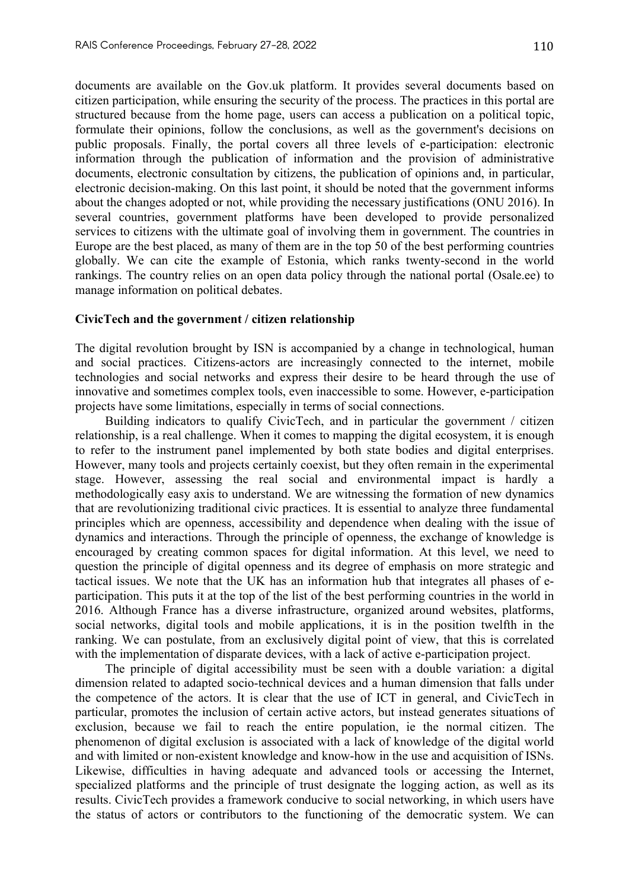documents are available on the Gov.uk platform. It provides several documents based on citizen participation, while ensuring the security of the process. The practices in this portal are structured because from the home page, users can access a publication on a political topic, formulate their opinions, follow the conclusions, as well as the government's decisions on public proposals. Finally, the portal covers all three levels of e-participation: electronic information through the publication of information and the provision of administrative documents, electronic consultation by citizens, the publication of opinions and, in particular, electronic decision-making. On this last point, it should be noted that the government informs about the changes adopted or not, while providing the necessary justifications (ONU 2016). In several countries, government platforms have been developed to provide personalized services to citizens with the ultimate goal of involving them in government. The countries in Europe are the best placed, as many of them are in the top 50 of the best performing countries globally. We can cite the example of Estonia, which ranks twenty-second in the world rankings. The country relies on an open data policy through the national portal (Osale.ee) to manage information on political debates.

## **CivicTech and the government / citizen relationship**

The digital revolution brought by ISN is accompanied by a change in technological, human and social practices. Citizens-actors are increasingly connected to the internet, mobile technologies and social networks and express their desire to be heard through the use of innovative and sometimes complex tools, even inaccessible to some. However, e-participation projects have some limitations, especially in terms of social connections.

Building indicators to qualify CivicTech, and in particular the government / citizen relationship, is a real challenge. When it comes to mapping the digital ecosystem, it is enough to refer to the instrument panel implemented by both state bodies and digital enterprises. However, many tools and projects certainly coexist, but they often remain in the experimental stage. However, assessing the real social and environmental impact is hardly a methodologically easy axis to understand. We are witnessing the formation of new dynamics that are revolutionizing traditional civic practices. It is essential to analyze three fundamental principles which are openness, accessibility and dependence when dealing with the issue of dynamics and interactions. Through the principle of openness, the exchange of knowledge is encouraged by creating common spaces for digital information. At this level, we need to question the principle of digital openness and its degree of emphasis on more strategic and tactical issues. We note that the UK has an information hub that integrates all phases of eparticipation. This puts it at the top of the list of the best performing countries in the world in 2016. Although France has a diverse infrastructure, organized around websites, platforms, social networks, digital tools and mobile applications, it is in the position twelfth in the ranking. We can postulate, from an exclusively digital point of view, that this is correlated with the implementation of disparate devices, with a lack of active e-participation project.

The principle of digital accessibility must be seen with a double variation: a digital dimension related to adapted socio-technical devices and a human dimension that falls under the competence of the actors. It is clear that the use of ICT in general, and CivicTech in particular, promotes the inclusion of certain active actors, but instead generates situations of exclusion, because we fail to reach the entire population, ie the normal citizen. The phenomenon of digital exclusion is associated with a lack of knowledge of the digital world and with limited or non-existent knowledge and know-how in the use and acquisition of ISNs. Likewise, difficulties in having adequate and advanced tools or accessing the Internet, specialized platforms and the principle of trust designate the logging action, as well as its results. CivicTech provides a framework conducive to social networking, in which users have the status of actors or contributors to the functioning of the democratic system. We can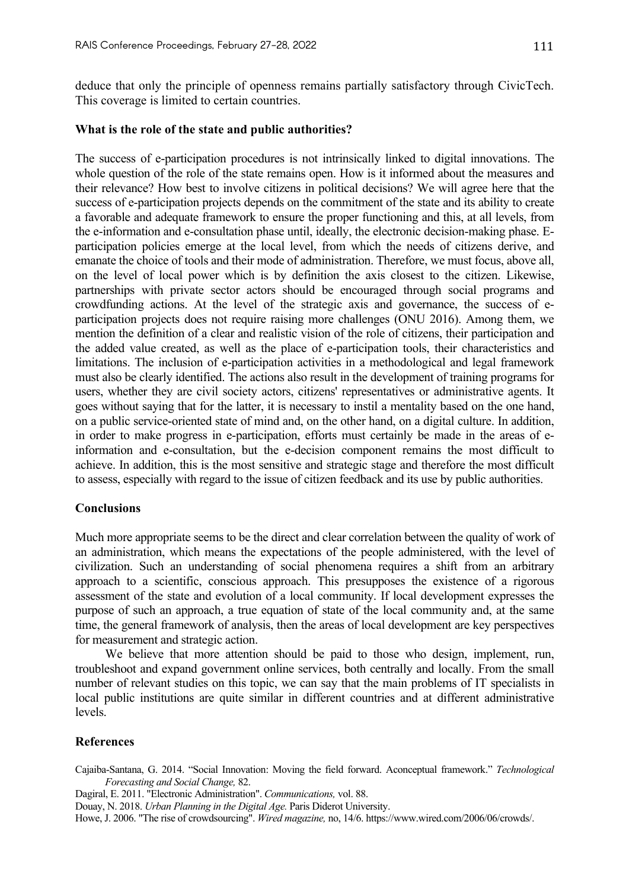deduce that only the principle of openness remains partially satisfactory through CivicTech. This coverage is limited to certain countries.

### **What is the role of the state and public authorities?**

The success of e-participation procedures is not intrinsically linked to digital innovations. The whole question of the role of the state remains open. How is it informed about the measures and their relevance? How best to involve citizens in political decisions? We will agree here that the success of e-participation projects depends on the commitment of the state and its ability to create a favorable and adequate framework to ensure the proper functioning and this, at all levels, from the e-information and e-consultation phase until, ideally, the electronic decision-making phase. Eparticipation policies emerge at the local level, from which the needs of citizens derive, and emanate the choice of tools and their mode of administration. Therefore, we must focus, above all, on the level of local power which is by definition the axis closest to the citizen. Likewise, partnerships with private sector actors should be encouraged through social programs and crowdfunding actions. At the level of the strategic axis and governance, the success of eparticipation projects does not require raising more challenges (ONU 2016). Among them, we mention the definition of a clear and realistic vision of the role of citizens, their participation and the added value created, as well as the place of e-participation tools, their characteristics and limitations. The inclusion of e-participation activities in a methodological and legal framework must also be clearly identified. The actions also result in the development of training programs for users, whether they are civil society actors, citizens' representatives or administrative agents. It goes without saying that for the latter, it is necessary to instil a mentality based on the one hand, on a public service-oriented state of mind and, on the other hand, on a digital culture. In addition, in order to make progress in e-participation, efforts must certainly be made in the areas of einformation and e-consultation, but the e-decision component remains the most difficult to achieve. In addition, this is the most sensitive and strategic stage and therefore the most difficult to assess, especially with regard to the issue of citizen feedback and its use by public authorities.

#### **Conclusions**

Much more appropriate seems to be the direct and clear correlation between the quality of work of an administration, which means the expectations of the people administered, with the level of civilization. Such an understanding of social phenomena requires a shift from an arbitrary approach to a scientific, conscious approach. This presupposes the existence of a rigorous assessment of the state and evolution of a local community. If local development expresses the purpose of such an approach, a true equation of state of the local community and, at the same time, the general framework of analysis, then the areas of local development are key perspectives for measurement and strategic action.

We believe that more attention should be paid to those who design, implement, run, troubleshoot and expand government online services, both centrally and locally. From the small number of relevant studies on this topic, we can say that the main problems of IT specialists in local public institutions are quite similar in different countries and at different administrative levels.

#### **References**

- Cajaiba-Santana, G. 2014. "Social Innovation: Moving the field forward. Aconceptual framework." *Technological Forecasting and Social Change,* 82.
- Dagiral, E. 2011. "Electronic Administration". *Communications,* vol. 88.

Douay, N. 2018. *Urban Planning in the Digital Age.* Paris Diderot University.

Howe, J. 2006. "The rise of crowdsourcing". *Wired magazine,* no, 14/6. https://www.wired.com/2006/06/crowds/.